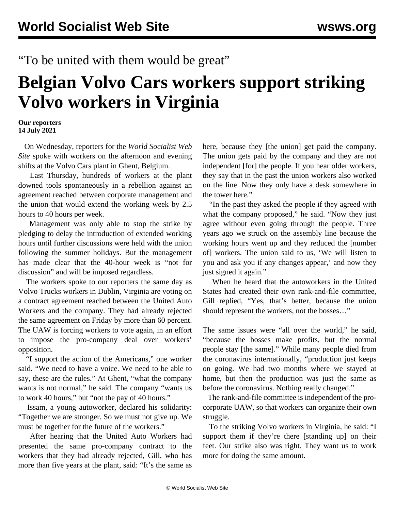## "To be united with them would be great"

## **Belgian Volvo Cars workers support striking Volvo workers in Virginia**

## **Our reporters 14 July 2021**

 On Wednesday, reporters for the *World Socialist Web Site* spoke with workers on the afternoon and evening shifts at the Volvo Cars plant in Ghent, Belgium.

 Last Thursday, hundreds of workers at the plant downed tools spontaneously in a rebellion against an agreement reached between corporate management and the union that would extend the working week by 2.5 hours to 40 hours per week.

 Management was only able to stop the strike by pledging to delay the introduction of extended working hours until further discussions were held with the union following the summer holidays. But the management has made clear that the 40-hour week is "not for discussion" and will be imposed regardless.

 The workers spoke to our reporters the same day as Volvo Trucks workers in Dublin, Virginia are voting on a contract agreement reached between the United Auto Workers and the company. They had already rejected the same agreement on Friday by more than 60 percent. The UAW is forcing workers to vote again, in an effort to impose the pro-company deal over workers' opposition.

 "I support the action of the Americans," one worker said. "We need to have a voice. We need to be able to say, these are the rules." At Ghent, "what the company wants is not normal," he said. The company "wants us to work 40 hours," but "not the pay of 40 hours."

 Issam, a young autoworker, declared his solidarity: "Together we are stronger. So we must not give up. We must be together for the future of the workers."

 After hearing that the United Auto Workers had presented the same pro-company contract to the workers that they had already rejected, Gill, who has more than five years at the plant, said: "It's the same as

here, because they [the union] get paid the company. The union gets paid by the company and they are not independent [for] the people. If you hear older workers, they say that in the past the union workers also worked on the line. Now they only have a desk somewhere in the tower here."

 "In the past they asked the people if they agreed with what the company proposed," he said. "Now they just agree without even going through the people. Three years ago we struck on the assembly line because the working hours went up and they reduced the [number of] workers. The union said to us, 'We will listen to you and ask you if any changes appear,' and now they just signed it again."

 When he heard that the autoworkers in the United States had created their own rank-and-file committee, Gill replied, "Yes, that's better, because the union should represent the workers, not the bosses…"

The same issues were "all over the world," he said, "because the bosses make profits, but the normal people stay [the same]." While many people died from the coronavirus internationally, "production just keeps on going. We had two months where we stayed at home, but then the production was just the same as before the coronavirus. Nothing really changed."

 The rank-and-file committee is independent of the procorporate UAW, so that workers can organize their own struggle.

 To the striking Volvo workers in Virginia, he said: "I support them if they're there [standing up] on their feet. Our strike also was right. They want us to work more for doing the same amount.